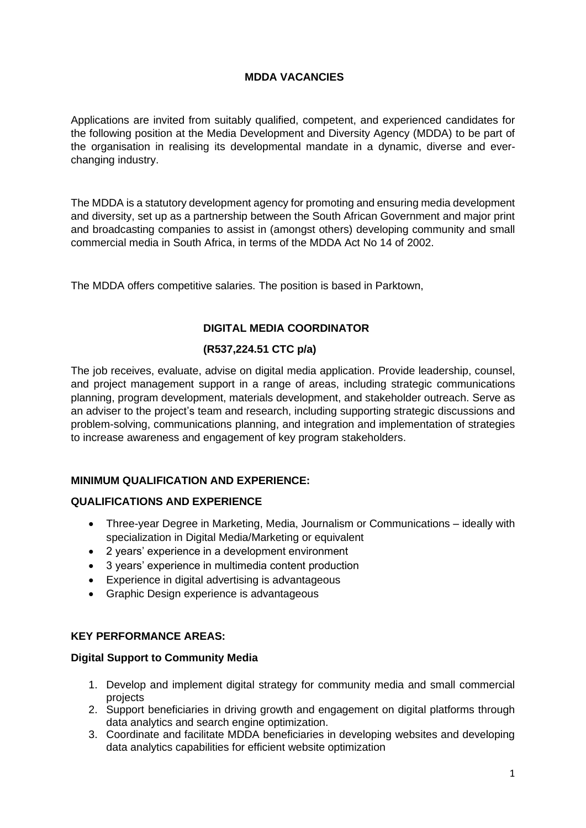## **MDDA VACANCIES**

Applications are invited from suitably qualified, competent, and experienced candidates for the following position at the Media Development and Diversity Agency (MDDA) to be part of the organisation in realising its developmental mandate in a dynamic, diverse and everchanging industry.

The MDDA is a statutory development agency for promoting and ensuring media development and diversity, set up as a partnership between the South African Government and major print and broadcasting companies to assist in (amongst others) developing community and small commercial media in South Africa, in terms of the MDDA Act No 14 of 2002.

The MDDA offers competitive salaries. The position is based in Parktown,

# **DIGITAL MEDIA COORDINATOR**

# **(R537,224.51 CTC p/a)**

The job receives, evaluate, advise on digital media application. Provide leadership, counsel, and project management support in a range of areas, including strategic communications planning, program development, materials development, and stakeholder outreach. Serve as an adviser to the project's team and research, including supporting strategic discussions and problem-solving, communications planning, and integration and implementation of strategies to increase awareness and engagement of key program stakeholders.

# **MINIMUM QUALIFICATION AND EXPERIENCE:**

## **QUALIFICATIONS AND EXPERIENCE**

- Three-year Degree in Marketing, Media, Journalism or Communications ideally with specialization in Digital Media/Marketing or equivalent
- 2 years' experience in a development environment
- 3 years' experience in multimedia content production
- Experience in digital advertising is advantageous
- Graphic Design experience is advantageous

#### **KEY PERFORMANCE AREAS:**

#### **Digital Support to Community Media**

- 1. Develop and implement digital strategy for community media and small commercial projects
- 2. Support beneficiaries in driving growth and engagement on digital platforms through data analytics and search engine optimization.
- 3. Coordinate and facilitate MDDA beneficiaries in developing websites and developing data analytics capabilities for efficient website optimization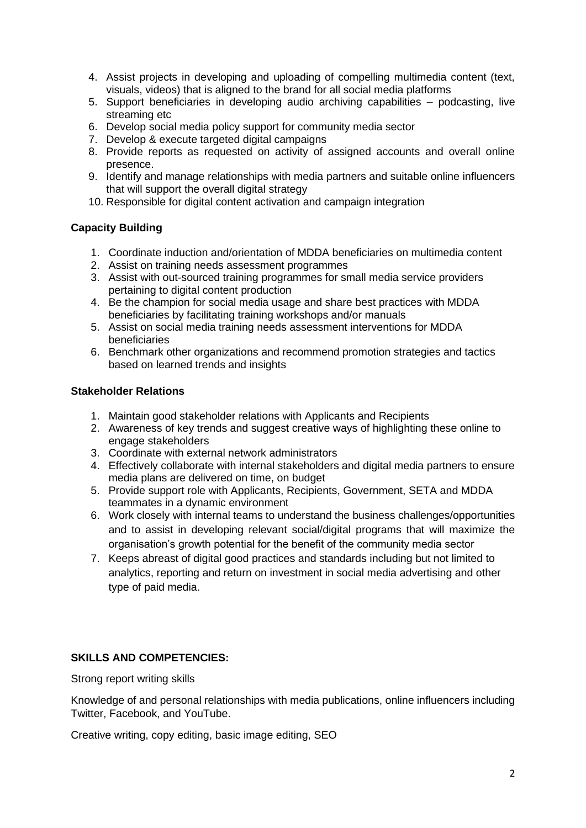- 4. Assist projects in developing and uploading of compelling multimedia content (text, visuals, videos) that is aligned to the brand for all social media platforms
- 5. Support beneficiaries in developing audio archiving capabilities podcasting, live streaming etc
- 6. Develop social media policy support for community media sector
- 7. Develop & execute targeted digital campaigns
- 8. Provide reports as requested on activity of assigned accounts and overall online presence.
- 9. Identify and manage relationships with media partners and suitable online influencers that will support the overall digital strategy
- 10. Responsible for digital content activation and campaign integration

## **Capacity Building**

- 1. Coordinate induction and/orientation of MDDA beneficiaries on multimedia content
- 2. Assist on training needs assessment programmes
- 3. Assist with out-sourced training programmes for small media service providers pertaining to digital content production
- 4. Be the champion for social media usage and share best practices with MDDA beneficiaries by facilitating training workshops and/or manuals
- 5. Assist on social media training needs assessment interventions for MDDA beneficiaries
- 6. Benchmark other organizations and recommend promotion strategies and tactics based on learned trends and insights

#### **Stakeholder Relations**

- 1. Maintain good stakeholder relations with Applicants and Recipients
- 2. Awareness of key trends and suggest creative ways of highlighting these online to engage stakeholders
- 3. Coordinate with external network administrators
- 4. Effectively collaborate with internal stakeholders and digital media partners to ensure media plans are delivered on time, on budget
- 5. Provide support role with Applicants, Recipients, Government, SETA and MDDA teammates in a dynamic environment
- 6. Work closely with internal teams to understand the business challenges/opportunities and to assist in developing relevant social/digital programs that will maximize the organisation's growth potential for the benefit of the community media sector
- 7. Keeps abreast of digital good practices and standards including but not limited to analytics, reporting and return on investment in social media advertising and other type of paid media.

#### **SKILLS AND COMPETENCIES:**

Strong report writing skills

Knowledge of and personal relationships with media publications, online influencers including Twitter, Facebook, and YouTube.

Creative writing, copy editing, basic image editing, SEO